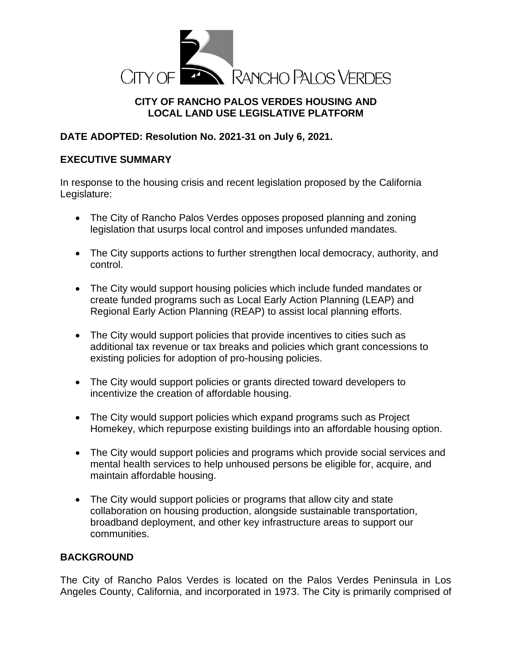

# **CITY OF RANCHO PALOS VERDES HOUSING AND LOCAL LAND USE LEGISLATIVE PLATFORM**

# **DATE ADOPTED: Resolution No. 2021-31 on July 6, 2021.**

### **EXECUTIVE SUMMARY**

In response to the housing crisis and recent legislation proposed by the California Legislature:

- The City of Rancho Palos Verdes opposes proposed planning and zoning legislation that usurps local control and imposes unfunded mandates.
- The City supports actions to further strengthen local democracy, authority, and control.
- The City would support housing policies which include funded mandates or create funded programs such as Local Early Action Planning (LEAP) and Regional Early Action Planning (REAP) to assist local planning efforts.
- The City would support policies that provide incentives to cities such as additional tax revenue or tax breaks and policies which grant concessions to existing policies for adoption of pro-housing policies.
- The City would support policies or grants directed toward developers to incentivize the creation of affordable housing.
- The City would support policies which expand programs such as Project Homekey, which repurpose existing buildings into an affordable housing option.
- The City would support policies and programs which provide social services and mental health services to help unhoused persons be eligible for, acquire, and maintain affordable housing.
- The City would support policies or programs that allow city and state collaboration on housing production, alongside sustainable transportation, broadband deployment, and other key infrastructure areas to support our communities.

## **BACKGROUND**

The City of Rancho Palos Verdes is located on the Palos Verdes Peninsula in Los Angeles County, California, and incorporated in 1973. The City is primarily comprised of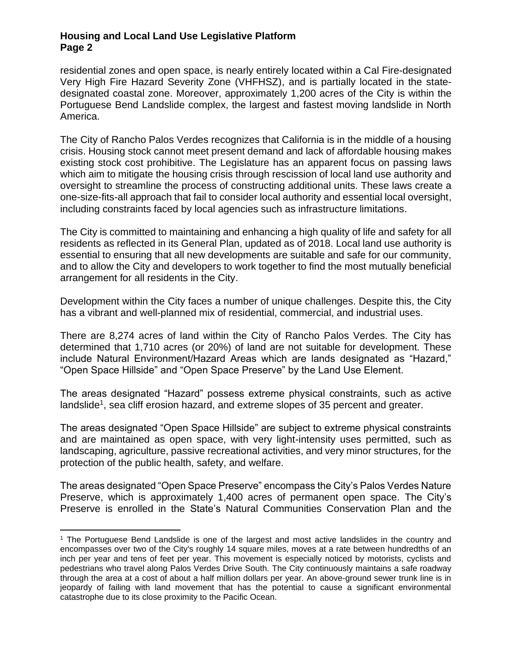residential zones and open space, is nearly entirely located within a Cal Fire-designated Very High Fire Hazard Severity Zone (VHFHSZ), and is partially located in the statedesignated coastal zone. Moreover, approximately 1,200 acres of the City is within the Portuguese Bend Landslide complex, the largest and fastest moving landslide in North America.

The City of Rancho Palos Verdes recognizes that California is in the middle of a housing crisis. Housing stock cannot meet present demand and lack of affordable housing makes existing stock cost prohibitive. The Legislature has an apparent focus on passing laws which aim to mitigate the housing crisis through rescission of local land use authority and oversight to streamline the process of constructing additional units. These laws create a one-size-fits-all approach that fail to consider local authority and essential local oversight, including constraints faced by local agencies such as infrastructure limitations.

The City is committed to maintaining and enhancing a high quality of life and safety for all residents as reflected in its General Plan, updated as of 2018. Local land use authority is essential to ensuring that all new developments are suitable and safe for our community, and to allow the City and developers to work together to find the most mutually beneficial arrangement for all residents in the City.

Development within the City faces a number of unique challenges. Despite this, the City has a vibrant and well-planned mix of residential, commercial, and industrial uses.

There are 8,274 acres of land within the City of Rancho Palos Verdes. The City has determined that 1,710 acres (or 20%) of land are not suitable for development. These include Natural Environment/Hazard Areas which are lands designated as "Hazard," "Open Space Hillside" and "Open Space Preserve" by the Land Use Element.

The areas designated "Hazard" possess extreme physical constraints, such as active landslide<sup>1</sup>, sea cliff erosion hazard, and extreme slopes of 35 percent and greater.

The areas designated "Open Space Hillside" are subject to extreme physical constraints and are maintained as open space, with very light-intensity uses permitted, such as landscaping, agriculture, passive recreational activities, and very minor structures, for the protection of the public health, safety, and welfare.

The areas designated "Open Space Preserve" encompass the City's Palos Verdes Nature Preserve, which is approximately 1,400 acres of permanent open space. The City's Preserve is enrolled in the State's Natural Communities Conservation Plan and the

<sup>1</sup> The Portuguese Bend Landslide is one of the largest and most active landslides in the country and encompasses over two of the City's roughly 14 square miles, moves at a rate between hundredths of an inch per year and tens of feet per year. This movement is especially noticed by motorists, cyclists and pedestrians who travel along Palos Verdes Drive South. The City continuously maintains a safe roadway through the area at a cost of about a half million dollars per year. An above-ground sewer trunk line is in jeopardy of failing with land movement that has the potential to cause a significant environmental catastrophe due to its close proximity to the Pacific Ocean.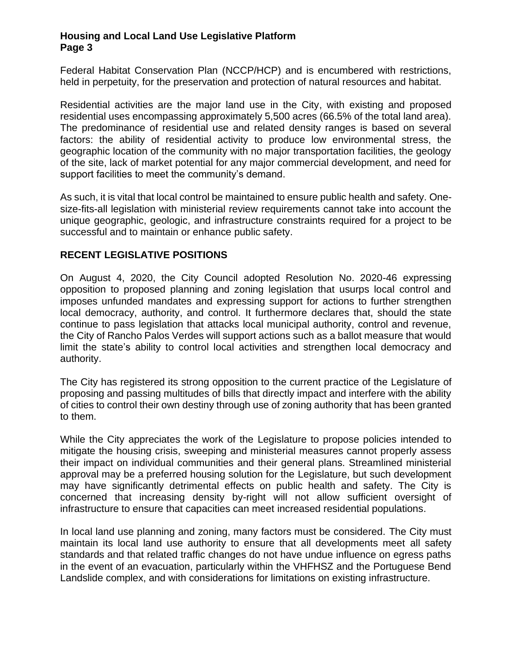Federal Habitat Conservation Plan (NCCP/HCP) and is encumbered with restrictions, held in perpetuity, for the preservation and protection of natural resources and habitat.

Residential activities are the major land use in the City, with existing and proposed residential uses encompassing approximately 5,500 acres (66.5% of the total land area). The predominance of residential use and related density ranges is based on several factors: the ability of residential activity to produce low environmental stress, the geographic location of the community with no major transportation facilities, the geology of the site, lack of market potential for any major commercial development, and need for support facilities to meet the community's demand.

As such, it is vital that local control be maintained to ensure public health and safety. Onesize-fits-all legislation with ministerial review requirements cannot take into account the unique geographic, geologic, and infrastructure constraints required for a project to be successful and to maintain or enhance public safety.

## **RECENT LEGISLATIVE POSITIONS**

On August 4, 2020, the City Council adopted Resolution No. 2020-46 expressing opposition to proposed planning and zoning legislation that usurps local control and imposes unfunded mandates and expressing support for actions to further strengthen local democracy, authority, and control. It furthermore declares that, should the state continue to pass legislation that attacks local municipal authority, control and revenue, the City of Rancho Palos Verdes will support actions such as a ballot measure that would limit the state's ability to control local activities and strengthen local democracy and authority.

The City has registered its strong opposition to the current practice of the Legislature of proposing and passing multitudes of bills that directly impact and interfere with the ability of cities to control their own destiny through use of zoning authority that has been granted to them.

While the City appreciates the work of the Legislature to propose policies intended to mitigate the housing crisis, sweeping and ministerial measures cannot properly assess their impact on individual communities and their general plans. Streamlined ministerial approval may be a preferred housing solution for the Legislature, but such development may have significantly detrimental effects on public health and safety. The City is concerned that increasing density by-right will not allow sufficient oversight of infrastructure to ensure that capacities can meet increased residential populations.

In local land use planning and zoning, many factors must be considered. The City must maintain its local land use authority to ensure that all developments meet all safety standards and that related traffic changes do not have undue influence on egress paths in the event of an evacuation, particularly within the VHFHSZ and the Portuguese Bend Landslide complex, and with considerations for limitations on existing infrastructure.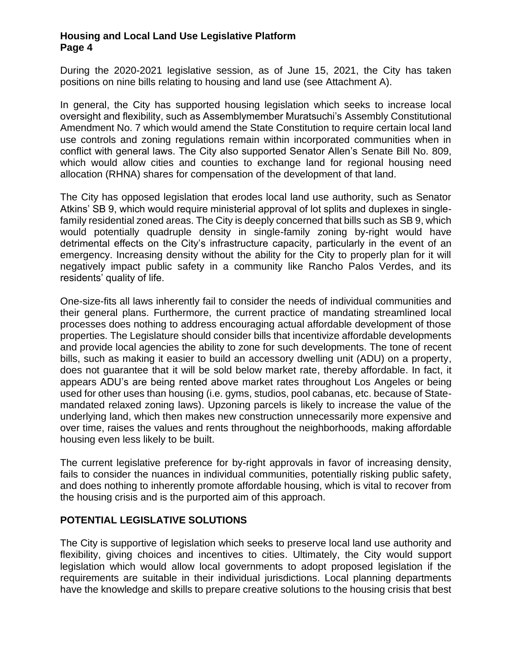During the 2020-2021 legislative session, as of June 15, 2021, the City has taken positions on nine bills relating to housing and land use (see Attachment A).

In general, the City has supported housing legislation which seeks to increase local oversight and flexibility, such as Assemblymember Muratsuchi's Assembly Constitutional Amendment No. 7 which would amend the State Constitution to require certain local land use controls and zoning regulations remain within incorporated communities when in conflict with general laws. The City also supported Senator Allen's Senate Bill No. 809, which would allow cities and counties to exchange land for regional housing need allocation (RHNA) shares for compensation of the development of that land.

The City has opposed legislation that erodes local land use authority, such as Senator Atkins' SB 9, which would require ministerial approval of lot splits and duplexes in singlefamily residential zoned areas. The City is deeply concerned that bills such as SB 9, which would potentially quadruple density in single-family zoning by-right would have detrimental effects on the City's infrastructure capacity, particularly in the event of an emergency. Increasing density without the ability for the City to properly plan for it will negatively impact public safety in a community like Rancho Palos Verdes, and its residents' quality of life.

One-size-fits all laws inherently fail to consider the needs of individual communities and their general plans. Furthermore, the current practice of mandating streamlined local processes does nothing to address encouraging actual affordable development of those properties. The Legislature should consider bills that incentivize affordable developments and provide local agencies the ability to zone for such developments. The tone of recent bills, such as making it easier to build an accessory dwelling unit (ADU) on a property, does not guarantee that it will be sold below market rate, thereby affordable. In fact, it appears ADU's are being rented above market rates throughout Los Angeles or being used for other uses than housing (i.e. gyms, studios, pool cabanas, etc. because of Statemandated relaxed zoning laws). Upzoning parcels is likely to increase the value of the underlying land, which then makes new construction unnecessarily more expensive and over time, raises the values and rents throughout the neighborhoods, making affordable housing even less likely to be built.

The current legislative preference for by-right approvals in favor of increasing density, fails to consider the nuances in individual communities, potentially risking public safety, and does nothing to inherently promote affordable housing, which is vital to recover from the housing crisis and is the purported aim of this approach.

## **POTENTIAL LEGISLATIVE SOLUTIONS**

The City is supportive of legislation which seeks to preserve local land use authority and flexibility, giving choices and incentives to cities. Ultimately, the City would support legislation which would allow local governments to adopt proposed legislation if the requirements are suitable in their individual jurisdictions. Local planning departments have the knowledge and skills to prepare creative solutions to the housing crisis that best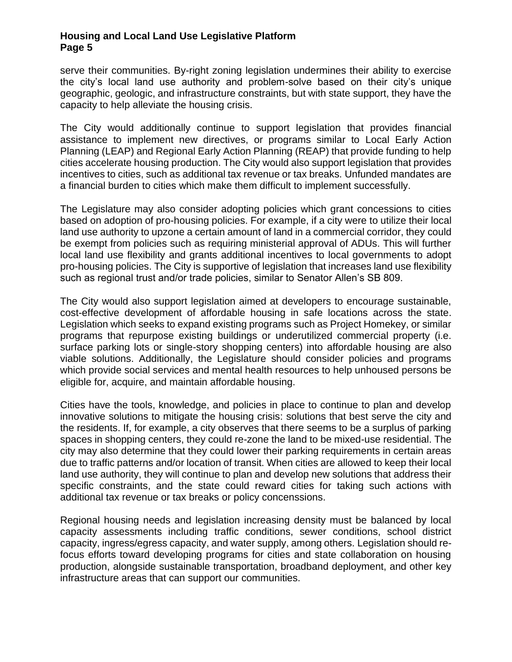serve their communities. By-right zoning legislation undermines their ability to exercise the city's local land use authority and problem-solve based on their city's unique geographic, geologic, and infrastructure constraints, but with state support, they have the capacity to help alleviate the housing crisis.

The City would additionally continue to support legislation that provides financial assistance to implement new directives, or programs similar to Local Early Action Planning (LEAP) and Regional Early Action Planning (REAP) that provide funding to help cities accelerate housing production. The City would also support legislation that provides incentives to cities, such as additional tax revenue or tax breaks. Unfunded mandates are a financial burden to cities which make them difficult to implement successfully.

The Legislature may also consider adopting policies which grant concessions to cities based on adoption of pro-housing policies. For example, if a city were to utilize their local land use authority to upzone a certain amount of land in a commercial corridor, they could be exempt from policies such as requiring ministerial approval of ADUs. This will further local land use flexibility and grants additional incentives to local governments to adopt pro-housing policies. The City is supportive of legislation that increases land use flexibility such as regional trust and/or trade policies, similar to Senator Allen's SB 809.

The City would also support legislation aimed at developers to encourage sustainable, cost-effective development of affordable housing in safe locations across the state. Legislation which seeks to expand existing programs such as Project Homekey, or similar programs that repurpose existing buildings or underutilized commercial property (i.e. surface parking lots or single-story shopping centers) into affordable housing are also viable solutions. Additionally, the Legislature should consider policies and programs which provide social services and mental health resources to help unhoused persons be eligible for, acquire, and maintain affordable housing.

Cities have the tools, knowledge, and policies in place to continue to plan and develop innovative solutions to mitigate the housing crisis: solutions that best serve the city and the residents. If, for example, a city observes that there seems to be a surplus of parking spaces in shopping centers, they could re-zone the land to be mixed-use residential. The city may also determine that they could lower their parking requirements in certain areas due to traffic patterns and/or location of transit. When cities are allowed to keep their local land use authority, they will continue to plan and develop new solutions that address their specific constraints, and the state could reward cities for taking such actions with additional tax revenue or tax breaks or policy concenssions.

Regional housing needs and legislation increasing density must be balanced by local capacity assessments including traffic conditions, sewer conditions, school district capacity, ingress/egress capacity, and water supply, among others. Legislation should refocus efforts toward developing programs for cities and state collaboration on housing production, alongside sustainable transportation, broadband deployment, and other key infrastructure areas that can support our communities.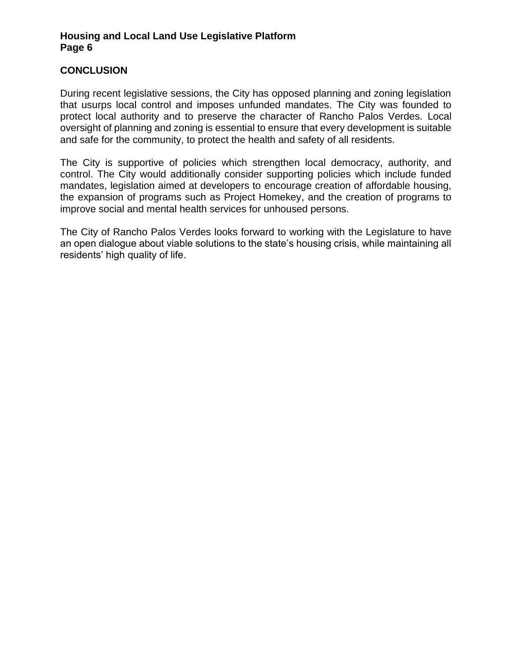# **CONCLUSION**

During recent legislative sessions, the City has opposed planning and zoning legislation that usurps local control and imposes unfunded mandates. The City was founded to protect local authority and to preserve the character of Rancho Palos Verdes. Local oversight of planning and zoning is essential to ensure that every development is suitable and safe for the community, to protect the health and safety of all residents.

The City is supportive of policies which strengthen local democracy, authority, and control. The City would additionally consider supporting policies which include funded mandates, legislation aimed at developers to encourage creation of affordable housing, the expansion of programs such as Project Homekey, and the creation of programs to improve social and mental health services for unhoused persons.

The City of Rancho Palos Verdes looks forward to working with the Legislature to have an open dialogue about viable solutions to the state's housing crisis, while maintaining all residents' high quality of life.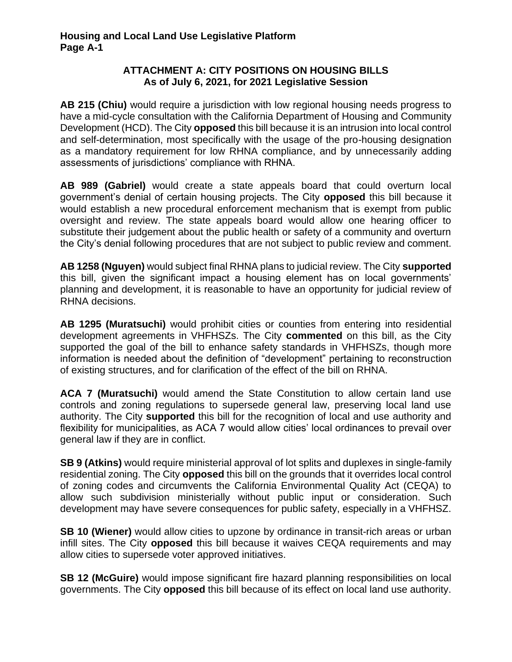# **ATTACHMENT A: CITY POSITIONS ON HOUSING BILLS As of July 6, 2021, for 2021 Legislative Session**

**AB 215 (Chiu)** would require a jurisdiction with low regional housing needs progress to have a mid-cycle consultation with the California Department of Housing and Community Development (HCD). The City **opposed** this bill because it is an intrusion into local control and self-determination, most specifically with the usage of the pro-housing designation as a mandatory requirement for low RHNA compliance, and by unnecessarily adding assessments of jurisdictions' compliance with RHNA.

**AB 989 (Gabriel)** would create a state appeals board that could overturn local government's denial of certain housing projects. The City **opposed** this bill because it would establish a new procedural enforcement mechanism that is exempt from public oversight and review. The state appeals board would allow one hearing officer to substitute their judgement about the public health or safety of a community and overturn the City's denial following procedures that are not subject to public review and comment.

**AB 1258 (Nguyen)** would subject final RHNA plans to judicial review. The City **supported** this bill, given the significant impact a housing element has on local governments' planning and development, it is reasonable to have an opportunity for judicial review of RHNA decisions.

**AB 1295 (Muratsuchi)** would prohibit cities or counties from entering into residential development agreements in VHFHSZs. The City **commented** on this bill, as the City supported the goal of the bill to enhance safety standards in VHFHSZs, though more information is needed about the definition of "development" pertaining to reconstruction of existing structures, and for clarification of the effect of the bill on RHNA.

**ACA 7 (Muratsuchi)** would amend the State Constitution to allow certain land use controls and zoning regulations to supersede general law, preserving local land use authority. The City **supported** this bill for the recognition of local and use authority and flexibility for municipalities, as ACA 7 would allow cities' local ordinances to prevail over general law if they are in conflict.

**SB 9 (Atkins)** would require ministerial approval of lot splits and duplexes in single-family residential zoning. The City **opposed** this bill on the grounds that it overrides local control of zoning codes and circumvents the California Environmental Quality Act (CEQA) to allow such subdivision ministerially without public input or consideration. Such development may have severe consequences for public safety, especially in a VHFHSZ.

**SB 10 (Wiener)** would allow cities to upzone by ordinance in transit-rich areas or urban infill sites. The City **opposed** this bill because it waives CEQA requirements and may allow cities to supersede voter approved initiatives.

**SB 12 (McGuire)** would impose significant fire hazard planning responsibilities on local governments. The City **opposed** this bill because of its effect on local land use authority.